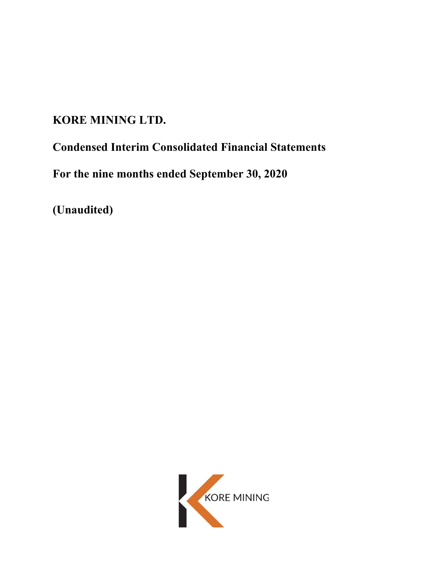# **KORE MINING LTD.**

**Condensed Interim Consolidated Financial Statements**

**For the nine months ended September 30, 2020**

**(Unaudited)**

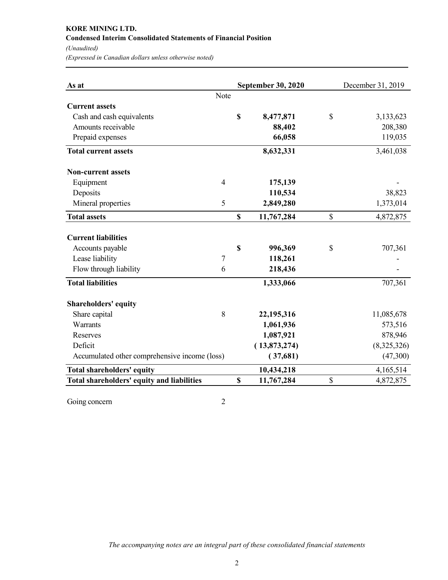# **KORE MINING LTD. Condensed Interim Consolidated Statements of Financial Position** *(Unaudited) (Expressed in Canadian dollars unless otherwise noted)*

| As at                                         |            | <b>September 30, 2020</b> | December 31, 2019 |
|-----------------------------------------------|------------|---------------------------|-------------------|
|                                               | Note       |                           |                   |
| <b>Current assets</b>                         |            |                           |                   |
| Cash and cash equivalents                     |            | \$<br>8,477,871           | \$<br>3,133,623   |
| Amounts receivable                            |            | 88,402                    | 208,380           |
| Prepaid expenses                              |            | 66,058                    | 119,035           |
| <b>Total current assets</b>                   |            | 8,632,331                 | 3,461,038         |
| <b>Non-current assets</b>                     |            |                           |                   |
| Equipment                                     | 4          | 175,139                   |                   |
| Deposits                                      |            | 110,534                   | 38,823            |
| Mineral properties                            | 5          | 2,849,280                 | 1,373,014         |
| <b>Total assets</b>                           |            | \$<br>11,767,284          | \$<br>4,872,875   |
| <b>Current liabilities</b>                    |            |                           |                   |
| Accounts payable                              |            | \$<br>996,369             | \$<br>707,361     |
| Lease liability                               | $\sqrt{ }$ | 118,261                   |                   |
| Flow through liability                        | 6          | 218,436                   |                   |
| <b>Total liabilities</b>                      |            | 1,333,066                 | 707,361           |
| <b>Shareholders' equity</b>                   |            |                           |                   |
| Share capital                                 | 8          | 22,195,316                | 11,085,678        |
| Warrants                                      |            | 1,061,936                 | 573,516           |
| Reserves                                      |            | 1,087,921                 | 878,946           |
| Deficit                                       |            | (13,873,274)              | (8,325,326)       |
| Accumulated other comprehensive income (loss) |            | (37,681)                  | (47,300)          |
| <b>Total shareholders' equity</b>             |            | 10,434,218                | 4,165,514         |
| Total shareholders' equity and liabilities    |            | \$<br>11,767,284          | \$<br>4,872,875   |

Going concern 2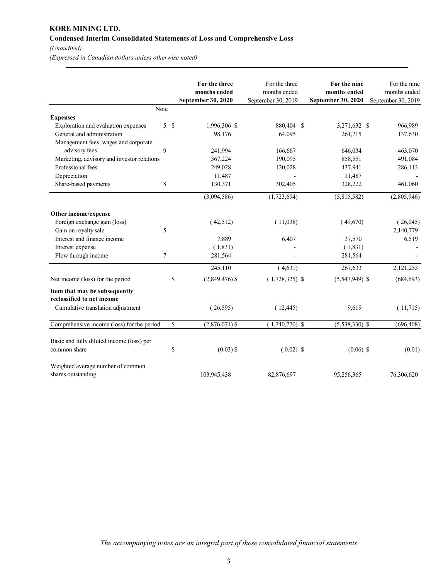# **KORE MINING LTD. Condensed Interim Consolidated Statements of Loss and Comprehensive Loss** *(Unaudited)*

*(Expressed in Canadian dollars unless otherwise noted)*

|                                                             |        | For the three      | For the three      | For the nine       | For the nine       |
|-------------------------------------------------------------|--------|--------------------|--------------------|--------------------|--------------------|
|                                                             |        | months ended       | months ended       | months ended       | months ended       |
|                                                             |        | September 30, 2020 | September 30, 2019 | September 30, 2020 | September 30, 2019 |
|                                                             | Note   |                    |                    |                    |                    |
| <b>Expenses</b>                                             |        |                    |                    |                    |                    |
| Exploration and evaluation expenses                         | 5S     | 1,996,306 \$       | 880,404 \$         | 3,271,632 \$       | 966,989            |
| General and administration                                  |        | 98,176             | 64,095             | 261,715            | 137,630            |
| Management fees, wages and corporate                        |        |                    |                    |                    |                    |
| advisory fees                                               | 9      | 241,994            | 166,667            | 646,034            | 463,070            |
| Marketing, advisory and investor relations                  |        | 367,224            | 190,095            | 858,551            | 491,084            |
| Professional fees                                           |        | 249,028            | 120,028            | 437,941            | 286,113            |
| Depreciation                                                |        | 11,487             |                    | 11,487             |                    |
| Share-based payments                                        | 8      | 130,371            | 302,405            | 328,222            | 461,060            |
|                                                             |        | (3,094,586)        | (1,723,694)        | (5,815,582)        | (2,805,946)        |
| Other income/expense                                        |        |                    |                    |                    |                    |
| Foreign exchange gain (loss)                                |        | (42,512)           | (11,038)           | (49,670)           | (26,045)           |
| Gain on royalty sale                                        | 5      |                    |                    |                    | 2,140,779          |
| Interest and finance income                                 |        | 7,889              | 6,407              | 37,570             | 6,519              |
| Interest expense                                            |        | (1,831)            |                    | (1, 831)           |                    |
| Flow through income                                         | $\tau$ | 281,564            |                    | 281,564            |                    |
|                                                             |        | 245,110            | (4,631)            | 267,633            | 2,121,253          |
| Net income (loss) for the period                            | \$     | $(2,849,476)$ \$   | $(1,728,325)$ \$   | $(5,547,949)$ \$   | (684, 693)         |
| Item that may be subsequently<br>reclassified to net income |        |                    |                    |                    |                    |
| Cumulative translation adjustment                           |        | (26,595)           | (12, 445)          | 9,619              | (11,715)           |
| Comprehensive income (loss) for the period                  | \$     | $(2,876,071)$ \$   | $(1,740,770)$ \$   | $(5,538,330)$ \$   | (696, 408)         |
| Basic and fully diluted income (loss) per                   |        |                    |                    |                    |                    |
| common share                                                | \$     | $(0.03)$ \$        | $(0.02)$ \$        | $(0.06)$ \$        | (0.01)             |
| Weighted average number of common                           |        |                    |                    |                    |                    |
| shares outstanding                                          |        | 103,945,438        | 82,876,697         | 95,256,365         | 76,306,620         |

*The accompanying notes are an integral part of these consolidated financial statements*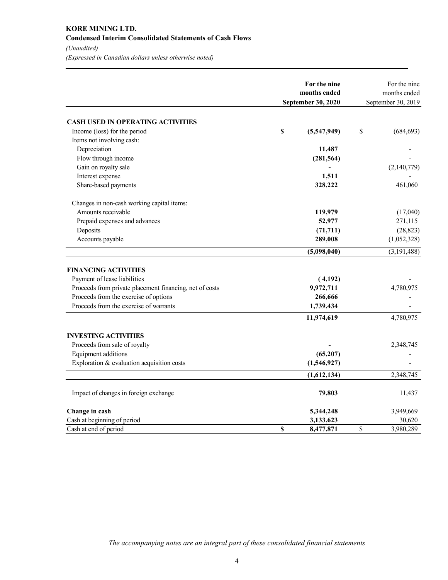# **KORE MINING LTD. Condensed Interim Consolidated Statements of Cash Flows** *(Unaudited) (Expressed in Canadian dollars unless otherwise noted)*

**For the nine months ended September 30, 2020** September 30, 2019 **CASH USED IN OPERATING ACTIVITIES** Income (loss) for the period **\$ (5,547,949)** \$ (684,693) Items not involving cash: Depreciation **11,487** -Flow through income **(281,564)**  $(281,564)$ Gain on royalty sale **a**  $(2,140,779)$  **-**  $(2,140,779)$ Interest expense **1,511** Share-based payments **328,222** 461,060 Changes in non-cash working capital items: Amounts receivable **119,979** (17,040) Prepaid expenses and advances **52,977** 271,115 Deposits **(71,711)** (28,823) Accounts payable **289,008** (1,052,328) **(5,098,040)** (3,191,488) **FINANCING ACTIVITIES** Payment of lease liabilities **(4,192)**  $(4,192)$ Proceeds from private placement financing, net of costs **9,972,711** 4,780,975 Proceeds from the exercise of options 266,666 Proceeds from the exercise of warrants **1,739,434** - **11,974,619** 4,780,975

For the nine months ended

**INVESTING ACTIVITIES** Proceeds from sale of royalty **and a set of reduced a** 2,348,745 Equipment additions **(65,207)** - **(65,207)** Exploration & evaluation acquisition costs **(1,546,927)**  $(1,546,927)$ **(1,612,134)** 2,348,745 Impact of changes in foreign exchange **79,803** 11,437

| Change in cash              | 5,344,248 | 3,949,669 |
|-----------------------------|-----------|-----------|
| Cash at beginning of period | 3.133.623 | 30.620    |
| Cash at end of period       | 8.477.871 | 3,980,289 |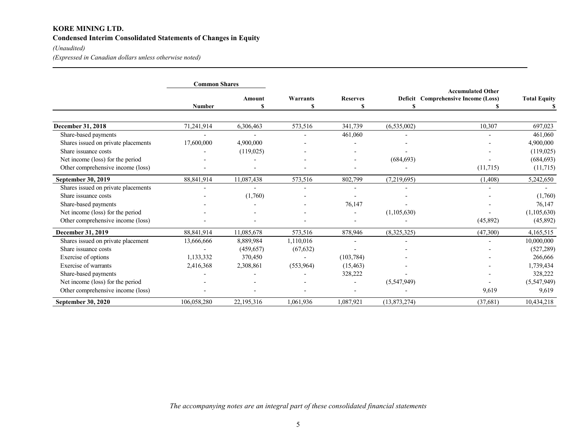# **KORE MINING LTD. Condensed Interim Consolidated Statements of Changes in Equity**

#### *(Unaudited)*

*(Expressed in Canadian dollars unless otherwise noted)*

|                                     | <b>Common Shares</b> |             |               |                 |               |                                                                |                     |
|-------------------------------------|----------------------|-------------|---------------|-----------------|---------------|----------------------------------------------------------------|---------------------|
|                                     | <b>Number</b>        | Amount<br>S | Warrants<br>S | <b>Reserves</b> | Deficit<br>S  | <b>Accumulated Other</b><br><b>Comprehensive Income (Loss)</b> | <b>Total Equity</b> |
|                                     |                      |             |               |                 |               |                                                                |                     |
| December 31, 2018                   | 71,241,914           | 6,306,463   | 573,516       | 341,739         | (6, 535, 002) | 10,307                                                         | 697,023             |
| Share-based payments                |                      |             |               | 461,060         |               |                                                                | 461,060             |
| Shares issued on private placements | 17,600,000           | 4,900,000   |               |                 |               |                                                                | 4,900,000           |
| Share issuance costs                |                      | (119,025)   |               |                 |               |                                                                | (119, 025)          |
| Net income (loss) for the period    |                      |             |               |                 | (684, 693)    |                                                                | (684, 693)          |
| Other comprehensive income (loss)   |                      |             |               |                 |               | (11,715)                                                       | (11,715)            |
| September 30, 2019                  | 88, 841, 914         | 11,087,438  | 573,516       | 802,799         | (7,219,695)   | (1, 408)                                                       | 5,242,650           |
| Shares issued on private placements |                      |             |               |                 |               |                                                                |                     |
| Share issuance costs                |                      | (1,760)     |               |                 |               |                                                                | (1,760)             |
| Share-based payments                |                      |             |               | 76,147          |               |                                                                | 76,147              |
| Net income (loss) for the period    |                      |             |               |                 | (1,105,630)   |                                                                | (1,105,630)         |
| Other comprehensive income (loss)   |                      |             |               |                 |               | (45,892)                                                       | (45,892)            |
| December 31, 2019                   | 88,841,914           | 11,085,678  | 573,516       | 878,946         | (8,325,325)   | (47,300)                                                       | 4,165,515           |
| Shares issued on private placement  | 13,666,666           | 8,889,984   | 1,110,016     |                 |               |                                                                | 10,000,000          |
| Share issuance costs                |                      | (459,657)   | (67, 632)     |                 |               |                                                                | (527, 289)          |
| Exercise of options                 | 1,133,332            | 370,450     |               | (103, 784)      |               |                                                                | 266,666             |
| Exercise of warrants                | 2,416,368            | 2,308,861   | (553,964)     | (15, 463)       |               |                                                                | 1,739,434           |
| Share-based payments                |                      |             |               | 328,222         |               |                                                                | 328,222             |
| Net income (loss) for the period    |                      |             |               |                 | (5,547,949)   |                                                                | (5,547,949)         |
| Other comprehensive income (loss)   |                      |             |               |                 |               | 9,619                                                          | 9,619               |
| <b>September 30, 2020</b>           | 106,058,280          | 22,195,316  | 1,061,936     | 1,087,921       | (13,873,274)  | (37, 681)                                                      | 10,434,218          |

*The accompanying notes are an integral part of these consolidated financial statements*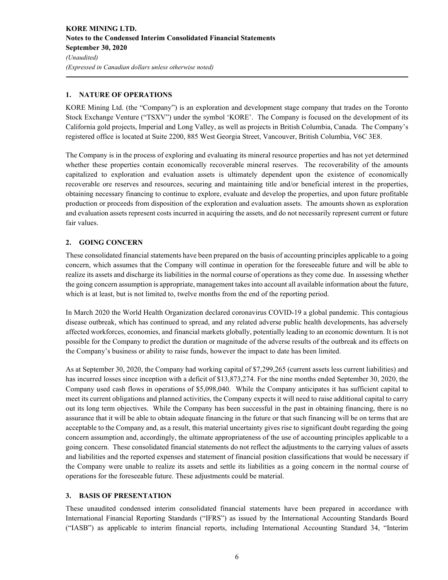## **1. NATURE OF OPERATIONS**

KORE Mining Ltd. (the "Company") is an exploration and development stage company that trades on the Toronto Stock Exchange Venture ("TSXV") under the symbol 'KORE'. The Company is focused on the development of its California gold projects, Imperial and Long Valley, as well as projects in British Columbia, Canada. The Company's registered office is located at Suite 2200, 885 West Georgia Street, Vancouver, British Columbia, V6C 3E8.

The Company is in the process of exploring and evaluating its mineral resource properties and has not yet determined whether these properties contain economically recoverable mineral reserves. The recoverability of the amounts capitalized to exploration and evaluation assets is ultimately dependent upon the existence of economically recoverable ore reserves and resources, securing and maintaining title and/or beneficial interest in the properties, obtaining necessary financing to continue to explore, evaluate and develop the properties, and upon future profitable production or proceeds from disposition of the exploration and evaluation assets. The amounts shown as exploration and evaluation assets represent costs incurred in acquiring the assets, and do not necessarily represent current or future fair values.

# **2. GOING CONCERN**

These consolidated financial statements have been prepared on the basis of accounting principles applicable to a going concern, which assumes that the Company will continue in operation for the foreseeable future and will be able to realize its assets and discharge its liabilities in the normal course of operations as they come due. In assessing whether the going concern assumption is appropriate, management takes into account all available information about the future, which is at least, but is not limited to, twelve months from the end of the reporting period.

In March 2020 the World Health Organization declared coronavirus COVID-19 a global pandemic. This contagious disease outbreak, which has continued to spread, and any related adverse public health developments, has adversely affected workforces, economies, and financial markets globally, potentially leading to an economic downturn. It is not possible for the Company to predict the duration or magnitude of the adverse results of the outbreak and its effects on the Company's business or ability to raise funds, however the impact to date has been limited.

As at September 30, 2020, the Company had working capital of \$7,299,265 (current assets less current liabilities) and has incurred losses since inception with a deficit of \$13,873,274. For the nine months ended September 30, 2020, the Company used cash flows in operations of \$5,098,040. While the Company anticipates it has sufficient capital to meet its current obligations and planned activities, the Company expects it will need to raise additional capital to carry out its long term objectives. While the Company has been successful in the past in obtaining financing, there is no assurance that it will be able to obtain adequate financing in the future or that such financing will be on terms that are acceptable to the Company and, as a result, this material uncertainty gives rise to significant doubt regarding the going concern assumption and, accordingly, the ultimate appropriateness of the use of accounting principles applicable to a going concern. These consolidated financial statements do not reflect the adjustments to the carrying values of assets and liabilities and the reported expenses and statement of financial position classifications that would be necessary if the Company were unable to realize its assets and settle its liabilities as a going concern in the normal course of operations for the foreseeable future. These adjustments could be material.

## **3. BASIS OF PRESENTATION**

These unaudited condensed interim consolidated financial statements have been prepared in accordance with International Financial Reporting Standards ("IFRS") as issued by the International Accounting Standards Board ("IASB") as applicable to interim financial reports, including International Accounting Standard 34, "Interim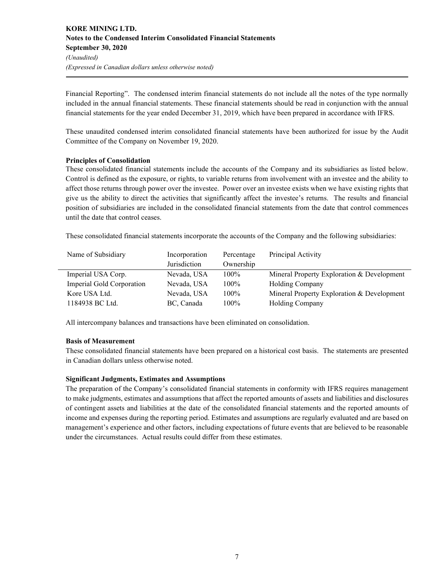Financial Reporting". The condensed interim financial statements do not include all the notes of the type normally included in the annual financial statements. These financial statements should be read in conjunction with the annual financial statements for the year ended December 31, 2019, which have been prepared in accordance with IFRS.

These unaudited condensed interim consolidated financial statements have been authorized for issue by the Audit Committee of the Company on November 19, 2020.

## **Principles of Consolidation**

These consolidated financial statements include the accounts of the Company and its subsidiaries as listed below. Control is defined as the exposure, or rights, to variable returns from involvement with an investee and the ability to affect those returns through power over the investee. Power over an investee exists when we have existing rights that give us the ability to direct the activities that significantly affect the investee's returns. The results and financial position of subsidiaries are included in the consolidated financial statements from the date that control commences until the date that control ceases.

These consolidated financial statements incorporate the accounts of the Company and the following subsidiaries:

| Name of Subsidiary        | Incorporation | Percentage | Principal Activity                         |
|---------------------------|---------------|------------|--------------------------------------------|
|                           | Jurisdiction  | Ownership  |                                            |
| Imperial USA Corp.        | Nevada, USA   | $100\%$    | Mineral Property Exploration & Development |
| Imperial Gold Corporation | Nevada, USA   | $100\%$    | <b>Holding Company</b>                     |
| Kore USA Ltd.             | Nevada, USA   | $100\%$    | Mineral Property Exploration & Development |
| 1184938 BC Ltd.           | BC, Canada    | $100\%$    | <b>Holding Company</b>                     |

All intercompany balances and transactions have been eliminated on consolidation.

#### **Basis of Measurement**

These consolidated financial statements have been prepared on a historical cost basis. The statements are presented in Canadian dollars unless otherwise noted.

## **Significant Judgments, Estimates and Assumptions**

The preparation of the Company's consolidated financial statements in conformity with IFRS requires management to make judgments, estimates and assumptions that affect the reported amounts of assets and liabilities and disclosures of contingent assets and liabilities at the date of the consolidated financial statements and the reported amounts of income and expenses during the reporting period. Estimates and assumptions are regularly evaluated and are based on management's experience and other factors, including expectations of future events that are believed to be reasonable under the circumstances. Actual results could differ from these estimates.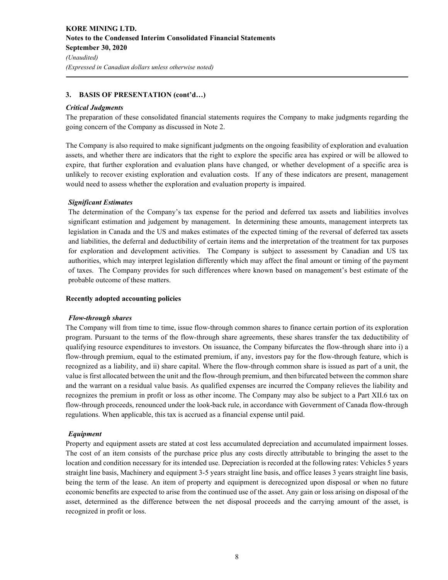## **3. BASIS OF PRESENTATION (cont'd…)**

#### *Critical Judgments*

The preparation of these consolidated financial statements requires the Company to make judgments regarding the going concern of the Company as discussed in Note 2.

The Company is also required to make significant judgments on the ongoing feasibility of exploration and evaluation assets, and whether there are indicators that the right to explore the specific area has expired or will be allowed to expire, that further exploration and evaluation plans have changed, or whether development of a specific area is unlikely to recover existing exploration and evaluation costs. If any of these indicators are present, management would need to assess whether the exploration and evaluation property is impaired.

#### *Significant Estimates*

The determination of the Company's tax expense for the period and deferred tax assets and liabilities involves significant estimation and judgement by management. In determining these amounts, management interprets tax legislation in Canada and the US and makes estimates of the expected timing of the reversal of deferred tax assets and liabilities, the deferral and deductibility of certain items and the interpretation of the treatment for tax purposes for exploration and development activities. The Company is subject to assessment by Canadian and US tax authorities, which may interpret legislation differently which may affect the final amount or timing of the payment of taxes. The Company provides for such differences where known based on management's best estimate of the probable outcome of these matters.

#### **Recently adopted accounting policies**

#### *Flow-through shares*

The Company will from time to time, issue flow-through common shares to finance certain portion of its exploration program. Pursuant to the terms of the flow-through share agreements, these shares transfer the tax deductibility of qualifying resource expenditures to investors. On issuance, the Company bifurcates the flow-through share into i) a flow-through premium, equal to the estimated premium, if any, investors pay for the flow-through feature, which is recognized as a liability, and ii) share capital. Where the flow-through common share is issued as part of a unit, the value is first allocated between the unit and the flow-through premium, and then bifurcated between the common share and the warrant on a residual value basis. As qualified expenses are incurred the Company relieves the liability and recognizes the premium in profit or loss as other income. The Company may also be subject to a Part XII.6 tax on flow-through proceeds, renounced under the look-back rule, in accordance with Government of Canada flow-through regulations. When applicable, this tax is accrued as a financial expense until paid.

#### *Equipment*

Property and equipment assets are stated at cost less accumulated depreciation and accumulated impairment losses. The cost of an item consists of the purchase price plus any costs directly attributable to bringing the asset to the location and condition necessary for its intended use. Depreciation is recorded at the following rates: Vehicles 5 years straight line basis, Machinery and equipment 3-5 years straight line basis, and office leases 3 years straight line basis, being the term of the lease. An item of property and equipment is derecognized upon disposal or when no future economic benefits are expected to arise from the continued use of the asset. Any gain or loss arising on disposal of the asset, determined as the difference between the net disposal proceeds and the carrying amount of the asset, is recognized in profit or loss.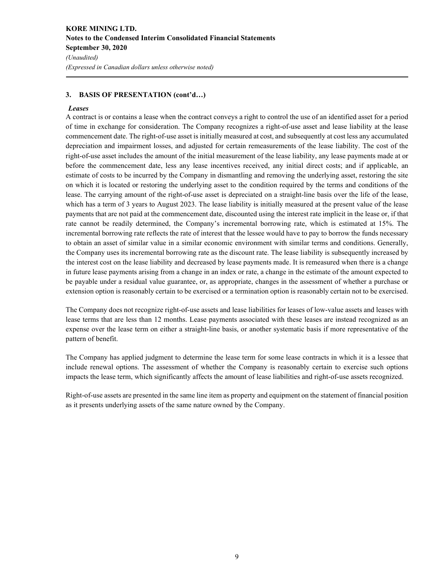#### *(Expressed in Canadian dollars unless otherwise noted)*

#### **3. BASIS OF PRESENTATION (cont'd…)**

#### *Leases*

A contract is or contains a lease when the contract conveys a right to control the use of an identified asset for a period of time in exchange for consideration. The Company recognizes a right-of-use asset and lease liability at the lease commencement date. The right-of-use asset is initially measured at cost, and subsequently at cost less any accumulated depreciation and impairment losses, and adjusted for certain remeasurements of the lease liability. The cost of the right-of-use asset includes the amount of the initial measurement of the lease liability, any lease payments made at or before the commencement date, less any lease incentives received, any initial direct costs; and if applicable, an estimate of costs to be incurred by the Company in dismantling and removing the underlying asset, restoring the site on which it is located or restoring the underlying asset to the condition required by the terms and conditions of the lease. The carrying amount of the right-of-use asset is depreciated on a straight-line basis over the life of the lease, which has a term of 3 years to August 2023. The lease liability is initially measured at the present value of the lease payments that are not paid at the commencement date, discounted using the interest rate implicit in the lease or, if that rate cannot be readily determined, the Company's incremental borrowing rate, which is estimated at 15%. The incremental borrowing rate reflects the rate of interest that the lessee would have to pay to borrow the funds necessary to obtain an asset of similar value in a similar economic environment with similar terms and conditions. Generally, the Company uses its incremental borrowing rate as the discount rate. The lease liability is subsequently increased by the interest cost on the lease liability and decreased by lease payments made. It is remeasured when there is a change in future lease payments arising from a change in an index or rate, a change in the estimate of the amount expected to be payable under a residual value guarantee, or, as appropriate, changes in the assessment of whether a purchase or extension option is reasonably certain to be exercised or a termination option is reasonably certain not to be exercised.

The Company does not recognize right-of-use assets and lease liabilities for leases of low-value assets and leases with lease terms that are less than 12 months. Lease payments associated with these leases are instead recognized as an expense over the lease term on either a straight-line basis, or another systematic basis if more representative of the pattern of benefit.

The Company has applied judgment to determine the lease term for some lease contracts in which it is a lessee that include renewal options. The assessment of whether the Company is reasonably certain to exercise such options impacts the lease term, which significantly affects the amount of lease liabilities and right-of-use assets recognized.

Right-of-use assets are presented in the same line item as property and equipment on the statement of financial position as it presents underlying assets of the same nature owned by the Company.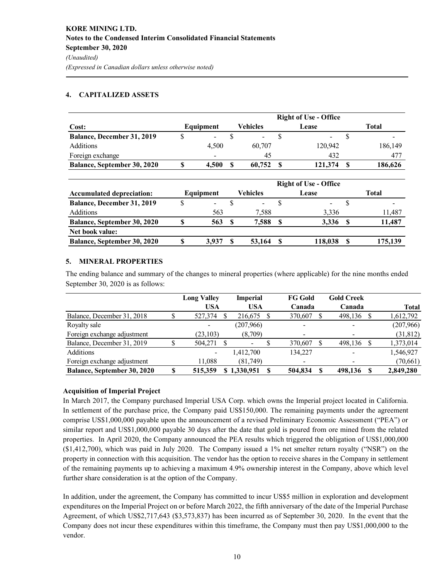## **4. CAPITALIZED ASSETS**

|                                    | <b>Right of Use - Office</b> |                          |   |                |  |         |  |         |  |
|------------------------------------|------------------------------|--------------------------|---|----------------|--|---------|--|---------|--|
| Cost:                              |                              | Equipment                |   | Vehicles       |  | Lease   |  | Total   |  |
| <b>Balance, December 31, 2019</b>  |                              | $\overline{\phantom{a}}$ |   | $\blacksquare$ |  | -       |  |         |  |
| Additions                          |                              | 4.500                    |   | 60.707         |  | 120,942 |  | 186,149 |  |
| Foreign exchange                   |                              | $\overline{\phantom{a}}$ |   | 45             |  | 432     |  | 477     |  |
| <b>Balance, September 30, 2020</b> |                              | 4.500                    | S | 60.752         |  | 121,374 |  | 186,626 |  |

|                                    | <b>Right of Use - Office</b> |                          |          |        |  |                          |              |         |  |  |
|------------------------------------|------------------------------|--------------------------|----------|--------|--|--------------------------|--------------|---------|--|--|
| <b>Accumulated depreciation:</b>   | Equipment                    |                          | Vehicles |        |  | Lease                    | <b>Total</b> |         |  |  |
| <b>Balance, December 31, 2019</b>  |                              | $\overline{\phantom{a}}$ |          | $\,$   |  | $\overline{\phantom{a}}$ |              |         |  |  |
| <b>Additions</b>                   |                              | 563                      |          | 7.588  |  | 3.336                    |              | 11,487  |  |  |
| <b>Balance, September 30, 2020</b> | ¢                            | 563                      | S        | 7.588  |  | 3.336                    | S            | 11,487  |  |  |
| Net book value:                    |                              |                          |          |        |  |                          |              |         |  |  |
| <b>Balance, September 30, 2020</b> |                              | 3.937                    |          | 53,164 |  | 118,038                  |              | 175,139 |  |  |

## **5. MINERAL PROPERTIES**

The ending balance and summary of the changes to mineral properties (where applicable) for the nine months ended September 30, 2020 is as follows:

|                                    | <b>Long Valley</b> |    | <b>Imperial</b> |    | <b>FG Gold</b> |   | <b>Gold Creek</b>        |    |              |
|------------------------------------|--------------------|----|-----------------|----|----------------|---|--------------------------|----|--------------|
|                                    | <b>USA</b>         |    | <b>USA</b>      |    | Canada         |   | Canada                   |    | <b>Total</b> |
| Balance, December 31, 2018         | 527,374            |    | 216,675         |    | 370,607        | S | 498.136                  |    | 1,612,792    |
| Royalty sale                       | -                  |    | (207,966)       |    | -              |   | $\overline{\phantom{a}}$ |    | (207,966)    |
| Foreign exchange adjustment        | (23, 103)          |    | (8,709)         |    |                |   | $\overline{\phantom{a}}$ |    | (31, 812)    |
| Balance, December 31, 2019         | 504,271            |    |                 |    | 370,607        |   | 498,136                  |    | 1,373,014    |
| <b>Additions</b>                   | -                  |    | 1,412,700       |    | 134,227        |   | $\blacksquare$           |    | 1,546,927    |
| Foreign exchange adjustment        | 11.088             |    | (81,749)        |    | -              |   | $\overline{\phantom{a}}$ |    | (70,661)     |
| <b>Balance, September 30, 2020</b> | 515,359<br>\$      | S. | 1.330.951       | -8 | 504,834        | S | 498.136                  | -S | 2,849,280    |

# **Acquisition of Imperial Project**

In March 2017, the Company purchased Imperial USA Corp. which owns the Imperial project located in California. In settlement of the purchase price, the Company paid US\$150,000. The remaining payments under the agreement comprise US\$1,000,000 payable upon the announcement of a revised Preliminary Economic Assessment ("PEA") or similar report and US\$1,000,000 payable 30 days after the date that gold is poured from ore mined from the related properties. In April 2020, the Company announced the PEA results which triggered the obligation of US\$1,000,000 (\$1,412,700), which was paid in July 2020. The Company issued a 1% net smelter return royalty ("NSR") on the property in connection with this acquisition. The vendor has the option to receive shares in the Company in settlement of the remaining payments up to achieving a maximum 4.9% ownership interest in the Company, above which level further share consideration is at the option of the Company.

In addition, under the agreement, the Company has committed to incur US\$5 million in exploration and development expenditures on the Imperial Project on or before March 2022, the fifth anniversary of the date of the Imperial Purchase Agreement, of which US\$2,717,643 (\$3,573,837) has been incurred as of September 30, 2020. In the event that the Company does not incur these expenditures within this timeframe, the Company must then pay US\$1,000,000 to the vendor.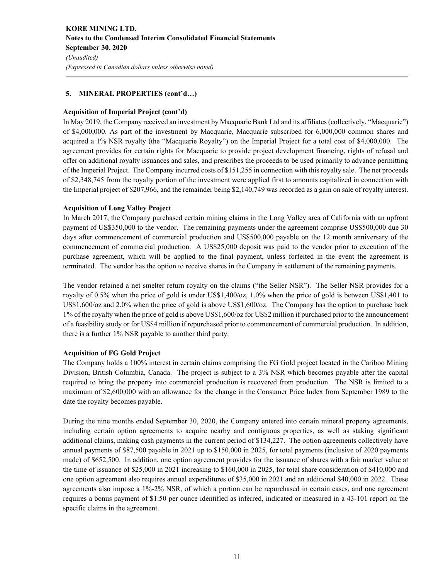## **5. MINERAL PROPERTIES (cont'd…)**

#### **Acquisition of Imperial Project (cont'd)**

In May 2019, the Company received an investment by Macquarie Bank Ltd and its affiliates (collectively, "Macquarie") of \$4,000,000. As part of the investment by Macquarie, Macquarie subscribed for 6,000,000 common shares and acquired a 1% NSR royalty (the "Macquarie Royalty") on the Imperial Project for a total cost of \$4,000,000. The agreement provides for certain rights for Macquarie to provide project development financing, rights of refusal and offer on additional royalty issuances and sales, and prescribes the proceeds to be used primarily to advance permitting of the Imperial Project. The Company incurred costs of \$151,255 in connection with this royalty sale. The net proceeds of \$2,348,745 from the royalty portion of the investment were applied first to amounts capitalized in connection with the Imperial project of \$207,966, and the remainder being \$2,140,749 was recorded as a gain on sale of royalty interest.

## **Acquisition of Long Valley Project**

In March 2017, the Company purchased certain mining claims in the Long Valley area of California with an upfront payment of US\$350,000 to the vendor. The remaining payments under the agreement comprise US\$500,000 due 30 days after commencement of commercial production and US\$500,000 payable on the 12 month anniversary of the commencement of commercial production. A US\$25,000 deposit was paid to the vendor prior to execution of the purchase agreement, which will be applied to the final payment, unless forfeited in the event the agreement is terminated. The vendor has the option to receive shares in the Company in settlement of the remaining payments.

The vendor retained a net smelter return royalty on the claims ("the Seller NSR"). The Seller NSR provides for a royalty of 0.5% when the price of gold is under US\$1,400/oz, 1.0% when the price of gold is between US\$1,401 to US\$1,600/oz and 2.0% when the price of gold is above US\$1,600/oz. The Company has the option to purchase back 1% of the royalty when the price of gold is above US\$1,600/oz for US\$2 million if purchased prior to the announcement of a feasibility study or for US\$4 million if repurchased prior to commencement of commercial production. In addition, there is a further 1% NSR payable to another third party.

## **Acquisition of FG Gold Project**

The Company holds a 100% interest in certain claims comprising the FG Gold project located in the Cariboo Mining Division, British Columbia, Canada. The project is subject to a 3% NSR which becomes payable after the capital required to bring the property into commercial production is recovered from production. The NSR is limited to a maximum of \$2,600,000 with an allowance for the change in the Consumer Price Index from September 1989 to the date the royalty becomes payable.

During the nine months ended September 30, 2020, the Company entered into certain mineral property agreements, including certain option agreements to acquire nearby and contiguous properties, as well as staking significant additional claims, making cash payments in the current period of \$134,227. The option agreements collectively have annual payments of \$87,500 payable in 2021 up to \$150,000 in 2025, for total payments (inclusive of 2020 payments made) of \$652,500. In addition, one option agreement provides for the issuance of shares with a fair market value at the time of issuance of \$25,000 in 2021 increasing to \$160,000 in 2025, for total share consideration of \$410,000 and one option agreement also requires annual expenditures of \$35,000 in 2021 and an additional \$40,000 in 2022. These agreements also impose a 1%-2% NSR, of which a portion can be repurchased in certain cases, and one agreement requires a bonus payment of \$1.50 per ounce identified as inferred, indicated or measured in a 43-101 report on the specific claims in the agreement.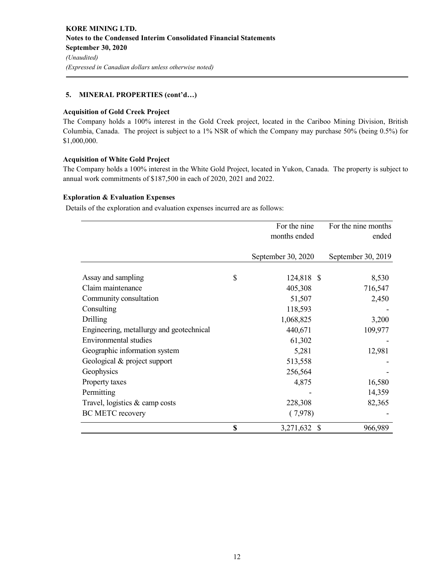# **5. MINERAL PROPERTIES (cont'd…)**

#### **Acquisition of Gold Creek Project**

The Company holds a 100% interest in the Gold Creek project, located in the Cariboo Mining Division, British Columbia, Canada. The project is subject to a 1% NSR of which the Company may purchase 50% (being 0.5%) for \$1,000,000.

## **Acquisition of White Gold Project**

The Company holds a 100% interest in the White Gold Project, located in Yukon, Canada. The property is subject to annual work commitments of \$187,500 in each of 2020, 2021 and 2022.

## **Exploration & Evaluation Expenses**

Details of the exploration and evaluation expenses incurred are as follows:

|                                          | For the nine       | For the nine months |
|------------------------------------------|--------------------|---------------------|
|                                          | months ended       | ended               |
|                                          |                    |                     |
|                                          | September 30, 2020 | September 30, 2019  |
|                                          |                    |                     |
| Assay and sampling                       | \$<br>124,818 \$   | 8,530               |
| Claim maintenance                        | 405,308            | 716,547             |
| Community consultation                   | 51,507             | 2,450               |
| Consulting                               | 118,593            |                     |
| Drilling                                 | 1,068,825          | 3,200               |
| Engineering, metallurgy and geotechnical | 440,671            | 109,977             |
| Environmental studies                    | 61,302             |                     |
| Geographic information system            | 5,281              | 12,981              |
| Geological & project support             | 513,558            |                     |
| Geophysics                               | 256,564            |                     |
| Property taxes                           | 4,875              | 16,580              |
| Permitting                               |                    | 14,359              |
| Travel, logistics & camp costs           | 228,308            | 82,365              |
| <b>BC METC recovery</b>                  | (7,978)            |                     |
|                                          | \$<br>3,271,632 \$ | 966,989             |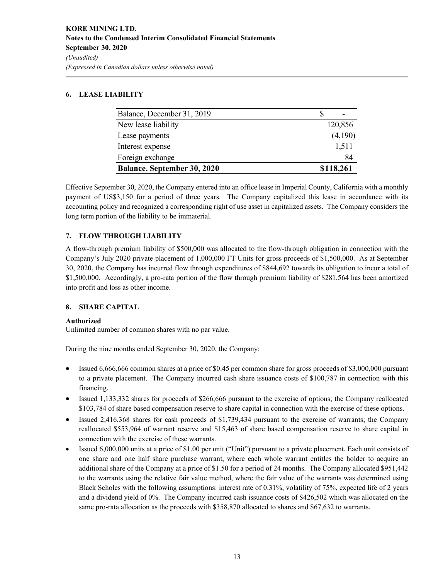# **6. LEASE LIABILITY**

| Balance, December 31, 2019         |           |
|------------------------------------|-----------|
| New lease liability                | 120,856   |
| Lease payments                     | (4,190)   |
| Interest expense                   | 1,511     |
| Foreign exchange                   | 84        |
| <b>Balance, September 30, 2020</b> | \$118,261 |

Effective September 30, 2020, the Company entered into an office lease in Imperial County, California with a monthly payment of US\$3,150 for a period of three years. The Company capitalized this lease in accordance with its accounting policy and recognized a corresponding right of use asset in capitalized assets. The Company considers the long term portion of the liability to be immaterial.

# **7. FLOW THROUGH LIABILITY**

A flow-through premium liability of \$500,000 was allocated to the flow-through obligation in connection with the Company's July 2020 private placement of 1,000,000 FT Units for gross proceeds of \$1,500,000. As at September 30, 2020, the Company has incurred flow through expenditures of \$844,692 towards its obligation to incur a total of \$1,500,000. Accordingly, a pro-rata portion of the flow through premium liability of \$281,564 has been amortized into profit and loss as other income.

# **8. SHARE CAPITAL**

## **Authorized**

Unlimited number of common shares with no par value.

During the nine months ended September 30, 2020, the Company:

- Issued 6,666,666 common shares at a price of \$0.45 per common share for gross proceeds of \$3,000,000 pursuant to a private placement. The Company incurred cash share issuance costs of \$100,787 in connection with this financing.
- Issued 1,133,332 shares for proceeds of \$266,666 pursuant to the exercise of options; the Company reallocated \$103,784 of share based compensation reserve to share capital in connection with the exercise of these options.
- Issued 2,416,368 shares for cash proceeds of \$1,739,434 pursuant to the exercise of warrants; the Company reallocated \$553,964 of warrant reserve and \$15,463 of share based compensation reserve to share capital in connection with the exercise of these warrants.
- Issued 6,000,000 units at a price of \$1.00 per unit ("Unit") pursuant to a private placement. Each unit consists of one share and one half share purchase warrant, where each whole warrant entitles the holder to acquire an additional share of the Company at a price of \$1.50 for a period of 24 months. The Company allocated \$951,442 to the warrants using the relative fair value method, where the fair value of the warrants was determined using Black Scholes with the following assumptions: interest rate of 0.31%, volatility of 75%, expected life of 2 years and a dividend yield of 0%. The Company incurred cash issuance costs of \$426,502 which was allocated on the same pro-rata allocation as the proceeds with \$358,870 allocated to shares and \$67,632 to warrants.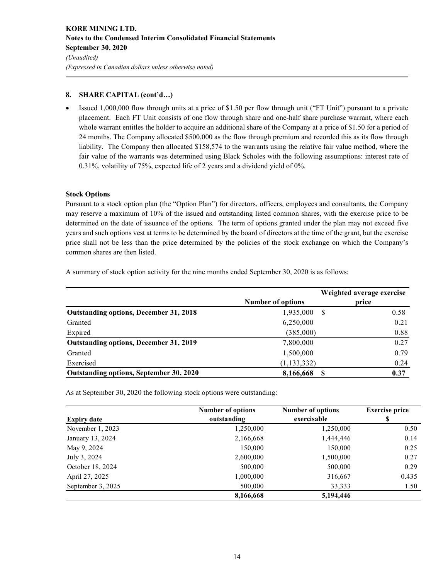#### **8. SHARE CAPITAL (cont'd…)**

• Issued 1,000,000 flow through units at a price of \$1.50 per flow through unit ("FT Unit") pursuant to a private placement. Each FT Unit consists of one flow through share and one-half share purchase warrant, where each whole warrant entitles the holder to acquire an additional share of the Company at a price of \$1.50 for a period of 24 months. The Company allocated \$500,000 as the flow through premium and recorded this as its flow through liability. The Company then allocated \$158,574 to the warrants using the relative fair value method, where the fair value of the warrants was determined using Black Scholes with the following assumptions: interest rate of 0.31%, volatility of 75%, expected life of 2 years and a dividend yield of 0%.

#### **Stock Options**

Pursuant to a stock option plan (the "Option Plan") for directors, officers, employees and consultants, the Company may reserve a maximum of 10% of the issued and outstanding listed common shares, with the exercise price to be determined on the date of issuance of the options. The term of options granted under the plan may not exceed five years and such options vest at terms to be determined by the board of directors at the time of the grant, but the exercise price shall not be less than the price determined by the policies of the stock exchange on which the Company's common shares are then listed.

|                                         |                   | Weighted average exercise |
|-----------------------------------------|-------------------|---------------------------|
|                                         | Number of options | price                     |
| Outstanding options, December 31, 2018  | 1,935,000<br>-S   | 0.58                      |
| Granted                                 | 6,250,000         | 0.21                      |
| Expired                                 | (385,000)         | 0.88                      |
| Outstanding options, December 31, 2019  | 7,800,000         | 0.27                      |
| Granted                                 | 1,500,000         | 0.79                      |
| Exercised                               | (1, 133, 332)     | 0.24                      |
| Outstanding options, September 30, 2020 | 8,166,668<br>-S   | 0.37                      |

A summary of stock option activity for the nine months ended September 30, 2020 is as follows:

As at September 30, 2020 the following stock options were outstanding:

|                    | <b>Number of options</b> | <b>Number of options</b> | <b>Exercise price</b> |
|--------------------|--------------------------|--------------------------|-----------------------|
| <b>Expiry date</b> | outstanding              | exercisable              | \$                    |
| November 1, 2023   | 1,250,000                | 1,250,000                | 0.50                  |
| January 13, 2024   | 2,166,668                | 1,444,446                | 0.14                  |
| May 9, 2024        | 150,000                  | 150,000                  | 0.25                  |
| July 3, 2024       | 2,600,000                | 1,500,000                | 0.27                  |
| October 18, 2024   | 500,000                  | 500,000                  | 0.29                  |
| April 27, 2025     | 1,000,000                | 316,667                  | 0.435                 |
| September 3, 2025  | 500,000                  | 33,333                   | 1.50                  |
|                    | 8,166,668                | 5,194,446                |                       |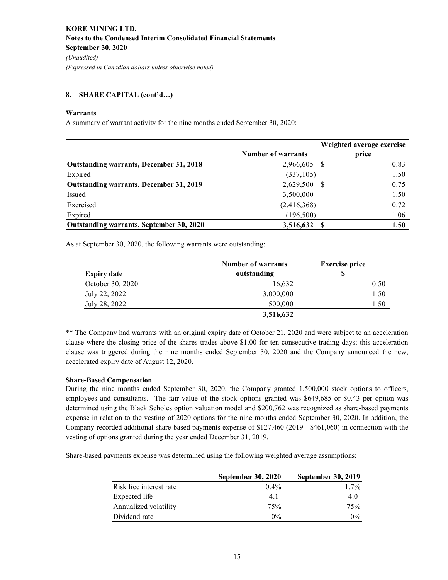## **8. SHARE CAPITAL (cont'd…)**

#### **Warrants**

A summary of warrant activity for the nine months ended September 30, 2020:

|                                                |                           | Weighted average exercise |  |  |  |
|------------------------------------------------|---------------------------|---------------------------|--|--|--|
|                                                | <b>Number of warrants</b> | price                     |  |  |  |
| <b>Outstanding warrants, December 31, 2018</b> | 2,966,605 \$              | 0.83                      |  |  |  |
| Expired                                        | (337,105)                 | 1.50                      |  |  |  |
| <b>Outstanding warrants, December 31, 2019</b> | 2,629,500                 | 0.75<br>- S               |  |  |  |
| Issued                                         | 3,500,000                 | 1.50                      |  |  |  |
| Exercised                                      | (2,416,368)               | 0.72                      |  |  |  |
| Expired                                        | (196, 500)                | 1.06                      |  |  |  |
| Outstanding warrants, September 30, 2020       | 3,516,632                 | 1.50                      |  |  |  |

As at September 30, 2020, the following warrants were outstanding:

|                    | <b>Number of warrants</b> | <b>Exercise price</b> |  |  |
|--------------------|---------------------------|-----------------------|--|--|
| <b>Expiry date</b> | outstanding               | S                     |  |  |
| October 30, 2020   | 16,632                    | 0.50                  |  |  |
| July 22, 2022      | 3,000,000                 | 1.50                  |  |  |
| July 28, 2022      | 500,000                   | 1.50                  |  |  |
|                    | 3,516,632                 |                       |  |  |

\*\* The Company had warrants with an original expiry date of October 21, 2020 and were subject to an acceleration clause where the closing price of the shares trades above \$1.00 for ten consecutive trading days; this acceleration clause was triggered during the nine months ended September 30, 2020 and the Company announced the new, accelerated expiry date of August 12, 2020.

## **Share-Based Compensation**

During the nine months ended September 30, 2020, the Company granted 1,500,000 stock options to officers, employees and consultants. The fair value of the stock options granted was \$649,685 or \$0.43 per option was determined using the Black Scholes option valuation model and \$200,762 was recognized as share-based payments expense in relation to the vesting of 2020 options for the nine months ended September 30, 2020. In addition, the Company recorded additional share-based payments expense of \$127,460 (2019 - \$461,060) in connection with the vesting of options granted during the year ended December 31, 2019.

Share-based payments expense was determined using the following weighted average assumptions:

|                         | <b>September 30, 2020</b> | <b>September 30, 2019</b> |  |  |
|-------------------------|---------------------------|---------------------------|--|--|
| Risk free interest rate | $0.4\%$                   | $1.7\%$                   |  |  |
| Expected life           | 4.1                       | 4.0                       |  |  |
| Annualized volatility   | 75%                       | 75%                       |  |  |
| Dividend rate           | $0\%$                     | $0\%$                     |  |  |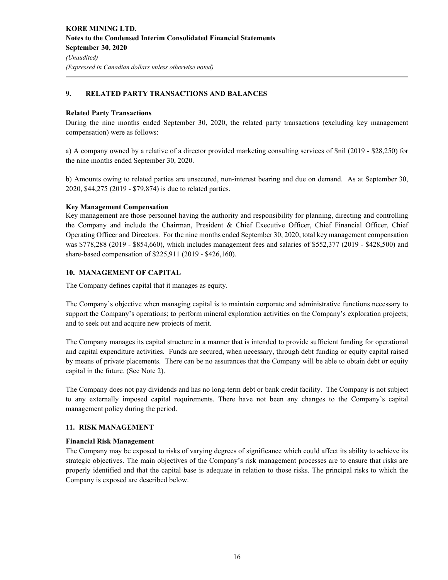## **9. RELATED PARTY TRANSACTIONS AND BALANCES**

#### **Related Party Transactions**

During the nine months ended September 30, 2020, the related party transactions (excluding key management compensation) were as follows:

a) A company owned by a relative of a director provided marketing consulting services of \$nil (2019 - \$28,250) for the nine months ended September 30, 2020.

b) Amounts owing to related parties are unsecured, non-interest bearing and due on demand. As at September 30, 2020, \$44,275 (2019 - \$79,874) is due to related parties.

#### **Key Management Compensation**

Key management are those personnel having the authority and responsibility for planning, directing and controlling the Company and include the Chairman, President & Chief Executive Officer, Chief Financial Officer, Chief Operating Officer and Directors. For the nine months ended September 30, 2020, total key management compensation was \$778,288 (2019 - \$854,660), which includes management fees and salaries of \$552,377 (2019 - \$428,500) and share-based compensation of \$225,911 (2019 - \$426,160).

#### **10. MANAGEMENT OF CAPITAL**

The Company defines capital that it manages as equity.

The Company's objective when managing capital is to maintain corporate and administrative functions necessary to support the Company's operations; to perform mineral exploration activities on the Company's exploration projects; and to seek out and acquire new projects of merit.

The Company manages its capital structure in a manner that is intended to provide sufficient funding for operational and capital expenditure activities. Funds are secured, when necessary, through debt funding or equity capital raised by means of private placements. There can be no assurances that the Company will be able to obtain debt or equity capital in the future. (See Note 2).

The Company does not pay dividends and has no long-term debt or bank credit facility. The Company is not subject to any externally imposed capital requirements. There have not been any changes to the Company's capital management policy during the period.

## **11. RISK MANAGEMENT**

#### **Financial Risk Management**

The Company may be exposed to risks of varying degrees of significance which could affect its ability to achieve its strategic objectives. The main objectives of the Company's risk management processes are to ensure that risks are properly identified and that the capital base is adequate in relation to those risks. The principal risks to which the Company is exposed are described below.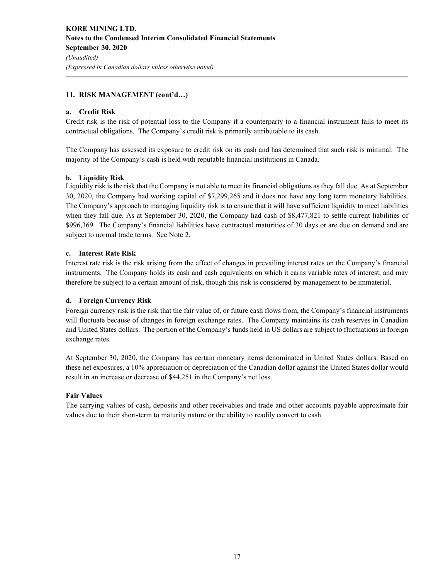## **11. RISK MANAGEMENT (cont'd…)**

#### **a. Credit Risk**

Credit risk is the risk of potential loss to the Company if a counterparty to a financial instrument fails to meet its contractual obligations. The Company's credit risk is primarily attributable to its cash.

The Company has assessed its exposure to credit risk on its cash and has determined that such risk is minimal. The majority of the Company's cash is held with reputable financial institutions in Canada.

## **b. Liquidity Risk**

Liquidity risk is the risk that the Company is not able to meet its financial obligations as they fall due. As at September 30, 2020, the Company had working capital of \$7,299,265 and it does not have any long term monetary liabilities. The Company's approach to managing liquidity risk is to ensure that it will have sufficient liquidity to meet liabilities when they fall due. As at September 30, 2020, the Company had cash of \$8,477,821 to settle current liabilities of \$996,369. The Company's financial liabilities have contractual maturities of 30 days or are due on demand and are subject to normal trade terms. See Note 2.

#### **c. Interest Rate Risk**

Interest rate risk is the risk arising from the effect of changes in prevailing interest rates on the Company's financial instruments. The Company holds its cash and cash equivalents on which it earns variable rates of interest, and may therefore be subject to a certain amount of risk, though this risk is considered by management to be immaterial.

## **d. Foreign Currency Risk**

Foreign currency risk is the risk that the fair value of, or future cash flows from, the Company's financial instruments will fluctuate because of changes in foreign exchange rates. The Company maintains its cash reserves in Canadian and United States dollars. The portion of the Company's funds held in US dollars are subject to fluctuations in foreign exchange rates.

At September 30, 2020, the Company has certain monetary items denominated in United States dollars. Based on these net exposures, a 10% appreciation or depreciation of the Canadian dollar against the United States dollar would result in an increase or decrease of \$44,251 in the Company's net loss.

#### **Fair Values**

The carrying values of cash, deposits and other receivables and trade and other accounts payable approximate fair values due to their short-term to maturity nature or the ability to readily convert to cash.